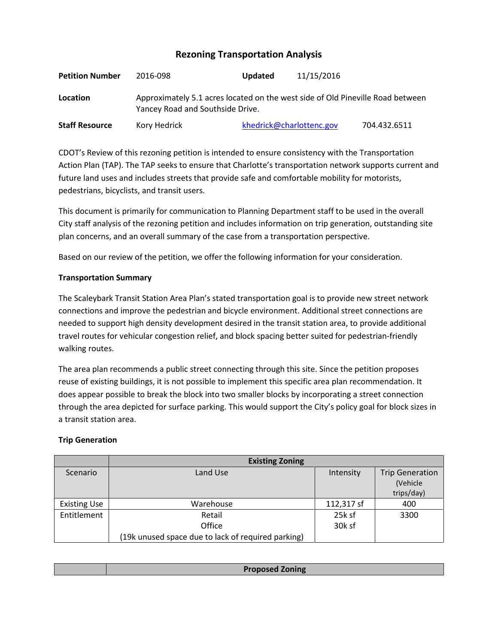# **Rezoning Transportation Analysis**

| <b>Petition Number</b> | 2016-098                                                                                                           | <b>Updated</b>           | 11/15/2016 |              |  |
|------------------------|--------------------------------------------------------------------------------------------------------------------|--------------------------|------------|--------------|--|
| Location               | Approximately 5.1 acres located on the west side of Old Pineville Road between<br>Yancey Road and Southside Drive. |                          |            |              |  |
| <b>Staff Resource</b>  | Kory Hedrick                                                                                                       | khedrick@charlottenc.gov |            | 704.432.6511 |  |

CDOT's Review of this rezoning petition is intended to ensure consistency with the Transportation Action Plan (TAP). The TAP seeks to ensure that Charlotte's transportation network supports current and future land uses and includes streets that provide safe and comfortable mobility for motorists, pedestrians, bicyclists, and transit users.

This document is primarily for communication to Planning Department staff to be used in the overall City staff analysis of the rezoning petition and includes information on trip generation, outstanding site plan concerns, and an overall summary of the case from a transportation perspective.

Based on our review of the petition, we offer the following information for your consideration.

## **Transportation Summary**

The Scaleybark Transit Station Area Plan's stated transportation goal is to provide new street network connections and improve the pedestrian and bicycle environment. Additional street connections are needed to support high density development desired in the transit station area, to provide additional travel routes for vehicular congestion relief, and block spacing better suited for pedestrian-friendly walking routes.

The area plan recommends a public street connecting through this site. Since the petition proposes reuse of existing buildings, it is not possible to implement this specific area plan recommendation. It does appear possible to break the block into two smaller blocks by incorporating a street connection through the area depicted for surface parking. This would support the City's policy goal for block sizes in a transit station area.

#### **Trip Generation**

|                     | <b>Existing Zoning</b>                             |            |                        |  |
|---------------------|----------------------------------------------------|------------|------------------------|--|
| Scenario            | Land Use                                           | Intensity  | <b>Trip Generation</b> |  |
|                     |                                                    |            | (Vehicle               |  |
|                     |                                                    |            | trips/day)             |  |
| <b>Existing Use</b> | Warehouse                                          | 112,317 sf | 400                    |  |
| Entitlement         | Retail                                             | 25k sf     | 3300                   |  |
|                     | Office                                             | 30k sf     |                        |  |
|                     | (19k unused space due to lack of required parking) |            |                        |  |

| <b>Proposed Zoning</b> |
|------------------------|
|                        |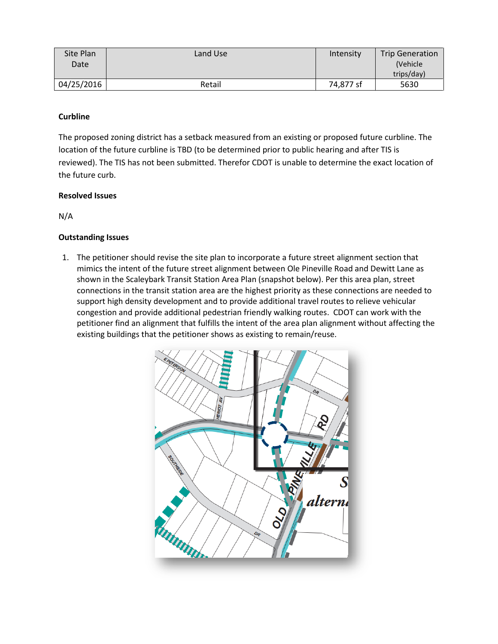| Site Plan  | Land Use | Intensity | <b>Trip Generation</b> |
|------------|----------|-----------|------------------------|
| Date       |          |           | (Vehicle)              |
|            |          |           | trips/day)             |
| 04/25/2016 | Retail   | 74,877 sf | 5630                   |

## **Curbline**

The proposed zoning district has a setback measured from an existing or proposed future curbline. The location of the future curbline is TBD (to be determined prior to public hearing and after TIS is reviewed). The TIS has not been submitted. Therefor CDOT is unable to determine the exact location of the future curb.

## **Resolved Issues**

N/A

# **Outstanding Issues**

1. The petitioner should revise the site plan to incorporate a future street alignment section that mimics the intent of the future street alignment between Ole Pineville Road and Dewitt Lane as shown in the Scaleybark Transit Station Area Plan (snapshot below). Per this area plan, street connections in the transit station area are the highest priority as these connections are needed to support high density development and to provide additional travel routes to relieve vehicular congestion and provide additional pedestrian friendly walking routes. CDOT can work with the petitioner find an alignment that fulfills the intent of the area plan alignment without affecting the existing buildings that the petitioner shows as existing to remain/reuse.